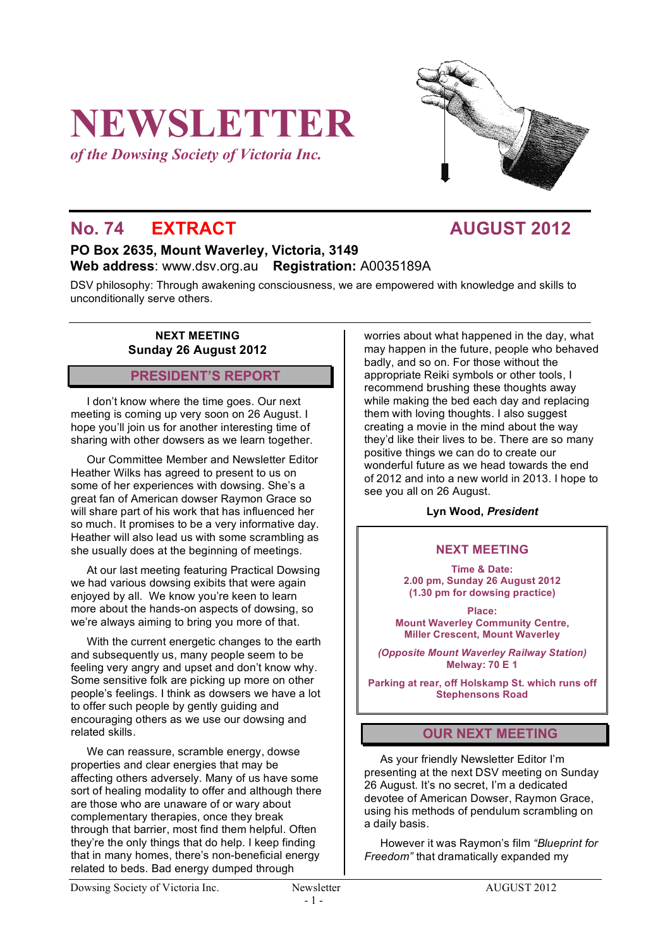# **NEWSLETTER**

*of the Dowsing Society of Victoria Inc.*



## **No. 74 EXTRACT AUGUST 2012**

#### **PO Box 2635, Mount Waverley, Victoria, 3149 Web address**: www.dsv.org.au **Registration:** A0035189A

DSV philosophy: Through awakening consciousness, we are empowered with knowledge and skills to unconditionally serve others.

#### **NEXT MEETING Sunday 26 August 2012**

#### **PRESIDENT'S REPORT**

I don't know where the time goes. Our next meeting is coming up very soon on 26 August. I hope you'll join us for another interesting time of sharing with other dowsers as we learn together.

Our Committee Member and Newsletter Editor Heather Wilks has agreed to present to us on some of her experiences with dowsing. She's a great fan of American dowser Raymon Grace so will share part of his work that has influenced her so much. It promises to be a very informative day. Heather will also lead us with some scrambling as she usually does at the beginning of meetings.

At our last meeting featuring Practical Dowsing we had various dowsing exibits that were again enjoyed by all. We know you're keen to learn more about the hands-on aspects of dowsing, so we're always aiming to bring you more of that.

With the current energetic changes to the earth and subsequently us, many people seem to be feeling very angry and upset and don't know why. Some sensitive folk are picking up more on other people's feelings. I think as dowsers we have a lot to offer such people by gently guiding and encouraging others as we use our dowsing and related skills.

We can reassure, scramble energy, dowse properties and clear energies that may be affecting others adversely. Many of us have some sort of healing modality to offer and although there are those who are unaware of or wary about complementary therapies, once they break through that barrier, most find them helpful. Often they're the only things that do help. I keep finding that in many homes, there's non-beneficial energy related to beds. Bad energy dumped through

worries about what happened in the day, what may happen in the future, people who behaved badly, and so on. For those without the appropriate Reiki symbols or other tools, I recommend brushing these thoughts away while making the bed each day and replacing them with loving thoughts. I also suggest creating a movie in the mind about the way they'd like their lives to be. There are so many positive things we can do to create our wonderful future as we head towards the end of 2012 and into a new world in 2013. I hope to see you all on 26 August.

#### **Lyn Wood,** *President*

#### **NEXT MEETING**

**Time & Date: 2.00 pm, Sunday 26 August 2012 (1.30 pm for dowsing practice)**

**Place: Mount Waverley Community Centre, Miller Crescent, Mount Waverley**

*(Opposite Mount Waverley Railway Station)* **Melway: 70 E 1**

**Parking at rear, off Holskamp St. which runs off Stephensons Road**

#### **OUR NEXT MEETING**

As your friendly Newsletter Editor I'm presenting at the next DSV meeting on Sunday 26 August. It's no secret, I'm a dedicated devotee of American Dowser, Raymon Grace, using his methods of pendulum scrambling on a daily basis.

However it was Raymon's film *"Blueprint for Freedom"* that dramatically expanded my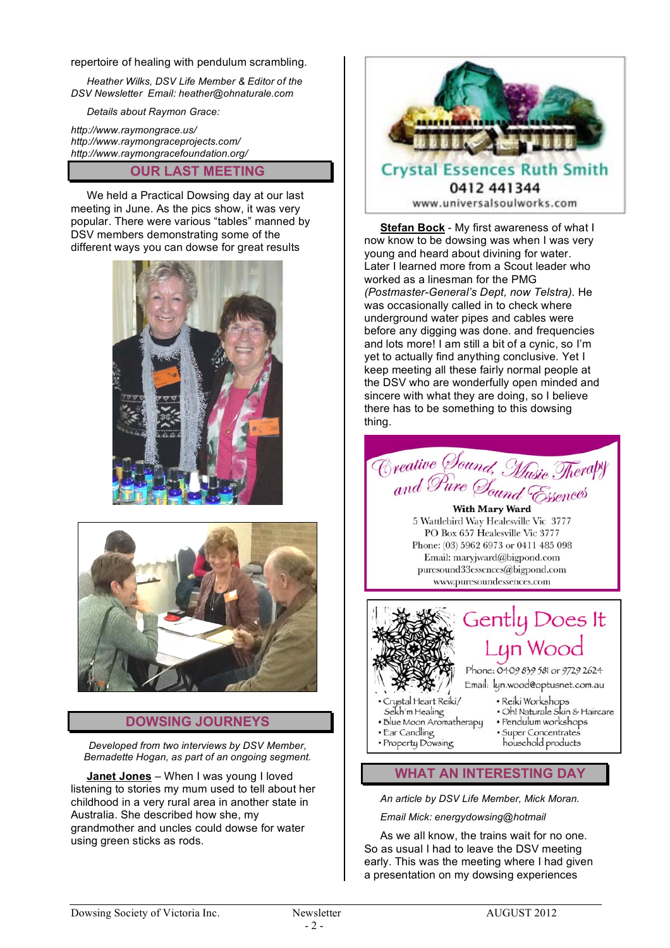#### repertoire of healing with pendulum scrambling.

*Heather Wilks, DSV Life Member & Editor of the DSV Newsletter Email: heather@ohnaturale.com*

*Details about Raymon Grace:*

*http://www.raymongrace.us/ http://www.raymongraceprojects.com/ http://www.raymongracefoundation.org/*

#### **OUR LAST MEETING**

We held a Practical Dowsing day at our last meeting in June. As the pics show, it was very popular. There were various "tables" manned by DSV members demonstrating some of the different ways you can dowse for great results





#### **DOWSING JOURNEYS**

*Developed from two interviews by DSV Member, Bernadette Hogan, as part of an ongoing segment.*

**Janet Jones** – When I was young I loved listening to stories my mum used to tell about her childhood in a very rural area in another state in Australia. She described how she, my grandmother and uncles could dowse for water using green sticks as rods.



**Stefan Bock** - My first awareness of what I now know to be dowsing was when I was very young and heard about divining for water. Later I learned more from a Scout leader who worked as a linesman for the PMG *(Postmaster-General's Dept, now Telstra).* He was occasionally called in to check where underground water pipes and cables were before any digging was done. and frequencies and lots more! I am still a bit of a cynic, so I'm yet to actually find anything conclusive. Yet I keep meeting all these fairly normal people at the DSV who are wonderfully open minded and sincere with what they are doing, so I believe there has to be something to this dowsing thing.



puresound33essences@bigpond.com www.puresoundessences.com



- 
- Property Dowsing
- household products

### **WHAT AN INTERESTING DAY**

*An article by DSV Life Member, Mick Moran.*

*Email Mick: energydowsing@hotmail*

As we all know, the trains wait for no one. So as usual I had to leave the DSV meeting early. This was the meeting where I had given a presentation on my dowsing experiences